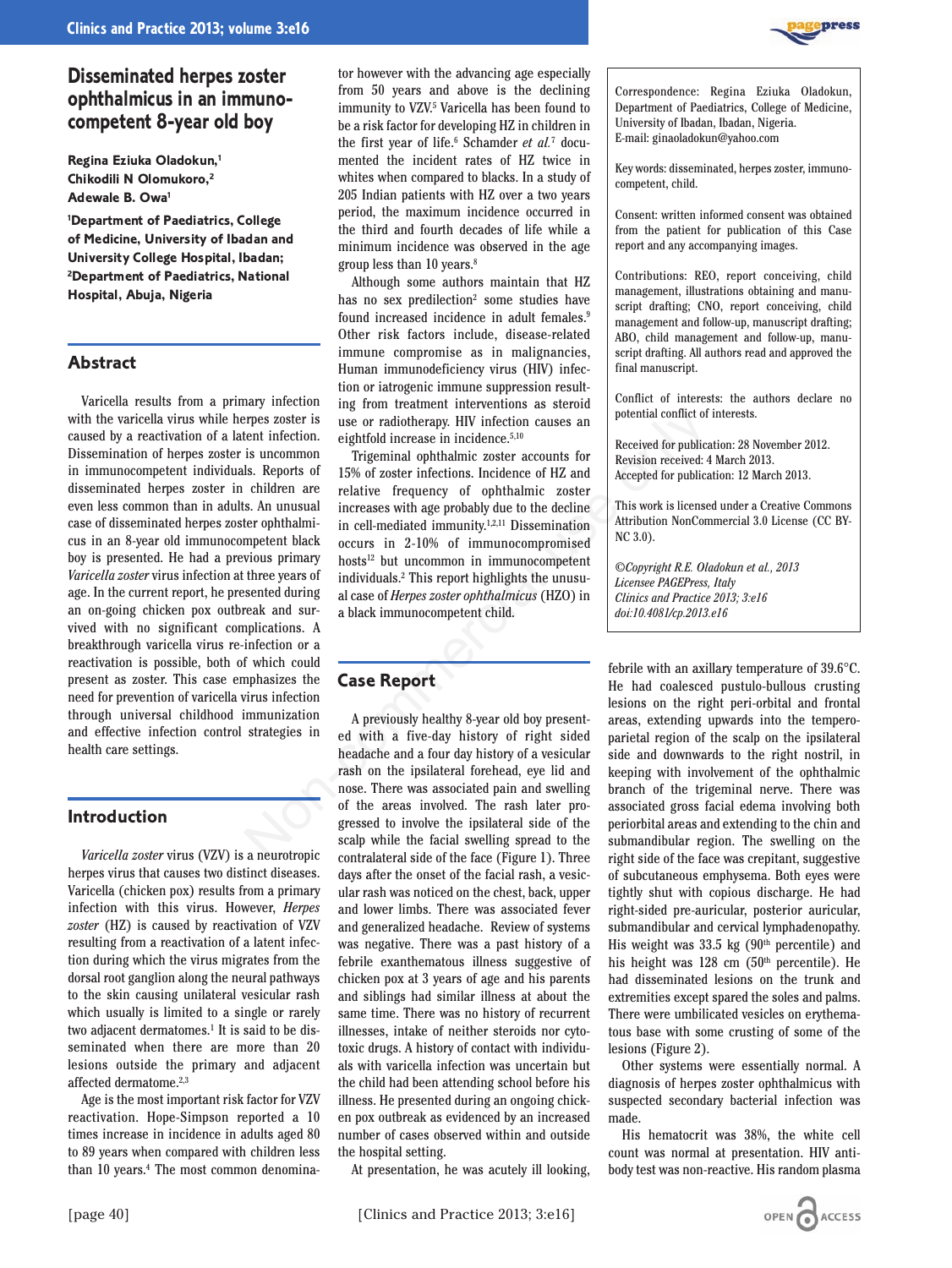

**Regina Eziuka Oladokun,1 Chikodili N Olomukoro,2 Adewale B. Owa1**

**1 Department of Paediatrics, College of Medicine, University of Ibadan and University College Hospital, Ibadan; 2 Department of Paediatrics, National Hospital, Abuja, Nigeria**

### **Abstract**

Varicella results from a primary infection with the varicella virus while herpes zoster is caused by a reactivation of a latent infection. Dissemination of herpes zoster is uncommon in immunocompetent individuals. Reports of disseminated herpes zoster in children are even less common than in adults. An unusual case of disseminated herpes zoster ophthalmicus in an 8-year old immunocompetent black boy is presented. He had a previous primary *Varicella zoster* virus infection at three years of age. In the current report, he presented during an on-going chicken pox outbreak and survived with no significant complications. A breakthrough varicella virus re-infection or a reactivation is possible, both of which could present as zoster. This case emphasizes the need for prevention of varicella virus infection through universal childhood immunization and effective infection control strategies in health care settings.

## **Introduction**

*Varicella zoster* virus (VZV) is a neurotropic herpes virus that causes two distinct diseases. Varicella (chicken pox) results from a primary infection with this virus. However, *Herpes zoster* (HZ) is caused by reactivation of VZV resulting from a reactivation of a latent infection during which the virus migrates from the dorsal root ganglion along the neural pathways to the skin causing unilateral vesicular rash which usually is limited to a single or rarely two adjacent dermatomes.<sup>1</sup> It is said to be disseminated when there are more than 20 lesions outside the primary and adjacent affected dermatome.2,3

Age is the most important risk factor for VZV reactivation. Hope-Simpson reported a 10 times increase in incidence in adults aged 80 to 89 years when compared with children less than 10 years.<sup>4</sup> The most common denomina-

tor however with the advancing age especially from 50 years and above is the declining immunity to VZV.5 Varicella has been found to be a risk factor for developing HZ in children in the first year of life.<sup>6</sup> Schamder *et al.*<sup>7</sup> documented the incident rates of HZ twice in whites when compared to blacks. In a study of 205 Indian patients with HZ over a two years period, the maximum incidence occurred in the third and fourth decades of life while a minimum incidence was observed in the age group less than 10 years.8

Although some authors maintain that HZ has no sex predilection<sup>2</sup> some studies have found increased incidence in adult females.<sup>9</sup> Other risk factors include, disease-related immune compromise as in malignancies, Human immunodeficiency virus (HIV) infection or iatrogenic immune suppression resulting from treatment interventions as steroid use or radiotherapy. HIV infection causes an eightfold increase in incidence.5,10

Trigeminal ophthalmic zoster accounts for 15% of zoster infections. Incidence of HZ and relative frequency of ophthalmic zoster increases with age probably due to the decline in cell-mediated immunity.1,2,11 Dissemination occurs in 2-10% of immunocompromised hosts<sup>12</sup> but uncommon in immunocompetent individuals.2 This report highlights the unusual case of *Herpes zoster ophthalmicus* (HZO) in a black immunocompetent child. repes zoster is use or radio<br>therapy. HIV infection causes an potential conflict of<br>the there in fection causes in incidence.<sup>5,10</sup><br>is uncommon Theigeminal ophthalmic zoster accounts for second to the decision recondstrat

# **Case Report**

A previously healthy 8-year old boy presented with a five-day history of right sided headache and a four day history of a vesicular rash on the ipsilateral forehead, eye lid and nose. There was associated pain and swelling of the areas involved. The rash later progressed to involve the ipsilateral side of the scalp while the facial swelling spread to the contralateral side of the face (Figure 1). Three days after the onset of the facial rash, a vesicular rash was noticed on the chest, back, upper and lower limbs. There was associated fever and generalized headache. Review of systems was negative. There was a past history of a febrile exanthematous illness suggestive of chicken pox at 3 years of age and his parents and siblings had similar illness at about the same time. There was no history of recurrent illnesses, intake of neither steroids nor cytotoxic drugs. A history of contact with individuals with varicella infection was uncertain but the child had been attending school before his illness. He presented during an ongoing chicken pox outbreak as evidenced by an increased number of cases observed within and outside the hospital setting.

At presentation, he was acutely ill looking,

### [page 40] [Clinics and Practice 2013; 3:e16]

Correspondence: Regina Eziuka Oladokun, Department of Paediatrics, College of Medicine, University of Ibadan, Ibadan, Nigeria. E-mail: ginaoladokun@yahoo.com

Key words: disseminated, herpes zoster, immunocompetent, child.

Consent: written informed consent was obtained from the patient for publication of this Case report and any accompanying images.

Contributions: REO, report conceiving, child management, illustrations obtaining and manuscript drafting; CNO, report conceiving, child management and follow-up, manuscript drafting; ABO, child management and follow-up, manuscript drafting. All authors read and approved the final manuscript.

Conflict of interests: the authors declare no potential conflict of interests.

Received for publication: 28 November 2012. Revision received: 4 March 2013. Accepted for publication: 12 March 2013.

This work is licensed under a Creative Commons Attribution NonCommercial 3.0 License (CC BY-NC 3.0).

*©Copyright R.E. Oladokun et al., 2013 Licensee PAGEPress, Italy Clinics and Practice 2013; 3:e16 doi:10.4081/cp.2013.e16*

febrile with an axillary temperature of 39.6°C. He had coalesced pustulo-bullous crusting lesions on the right peri-orbital and frontal areas, extending upwards into the temperoparietal region of the scalp on the ipsilateral side and downwards to the right nostril, in keeping with involvement of the ophthalmic branch of the trigeminal nerve. There was associated gross facial edema involving both periorbital areas and extending to the chin and submandibular region. The swelling on the right side of the face was crepitant, suggestive of subcutaneous emphysema. Both eyes were tightly shut with copious discharge. He had right-sided pre-auricular, posterior auricular, submandibular and cervical lymphadenopathy. His weight was  $33.5 \text{ kg}$  (90<sup>th</sup> percentile) and his height was 128 cm (50<sup>th</sup> percentile). He had disseminated lesions on the trunk and extremities except spared the soles and palms. There were umbilicated vesicles on erythematous base with some crusting of some of the lesions (Figure 2).

Other systems were essentially normal. A diagnosis of herpes zoster ophthalmicus with suspected secondary bacterial infection was made.

His hematocrit was 38%, the white cell count was normal at presentation. HIV antibody test was non-reactive. His random plasma

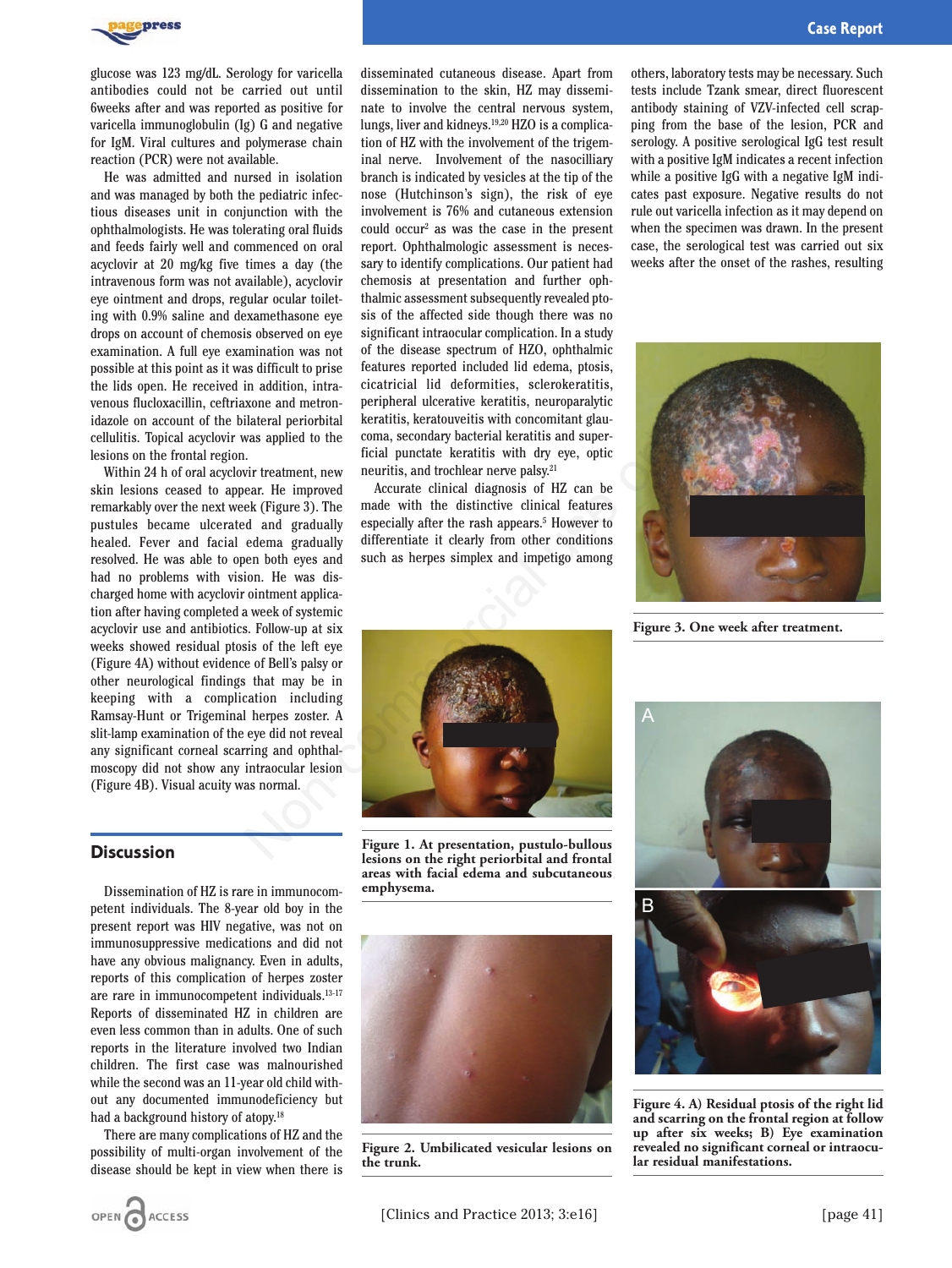

glucose was 123 mg/dL. Serology for varicella antibodies could not be carried out until 6weeks after and was reported as positive for varicella immunoglobulin (Ig) G and negative for IgM. Viral cultures and polymerase chain reaction (PCR) were not available.

He was admitted and nursed in isolation and was managed by both the pediatric infectious diseases unit in conjunction with the ophthalmologists. He was tolerating oral fluids and feeds fairly well and commenced on oral acyclovir at 20 mg/kg five times a day (the intravenous form was not available), acyclovir eye ointment and drops, regular ocular toileting with 0.9% saline and dexamethasone eye drops on account of chemosis observed on eye examination. A full eye examination was not possible at this point as it was difficult to prise the lids open. He received in addition, intravenous flucloxacillin, ceftriaxone and metronidazole on account of the bilateral periorbital cellulitis. Topical acyclovir was applied to the lesions on the frontal region.

Within 24 h of oral acyclovir treatment, new skin lesions ceased to appear. He improved remarkably over the next week (Figure 3). The pustules became ulcerated and gradually healed. Fever and facial edema gradually resolved. He was able to open both eyes and had no problems with vision. He was discharged home with acyclovir ointment application after having completed a week of systemic acyclovir use and antibiotics. Follow-up at six weeks showed residual ptosis of the left eye (Figure 4A) without evidence of Bell's palsy or other neurological findings that may be in keeping with a complication including Ramsay-Hunt or Trigeminal herpes zoster. A slit-lamp examination of the eye did not reveal any significant corneal scarring and ophthalmoscopy did not show any intraocular lesion (Figure 4B). Visual acuity was normal.

### **Discussion**

Dissemination of HZ is rare in immunocompetent individuals. The 8-year old boy in the present report was HIV negative, was not on immunosuppressive medications and did not have any obvious malignancy. Even in adults, reports of this complication of herpes zoster are rare in immunocompetent individuals.13-17 Reports of disseminated HZ in children are even less common than in adults. One of such reports in the literature involved two Indian children. The first case was malnourished while the second was an 11-year old child without any documented immunodeficiency but had a background history of atopy.<sup>18</sup>

There are many complications of HZ and the possibility of multi-organ involvement of the disease should be kept in view when there is

disseminated cutaneous disease. Apart from dissemination to the skin, HZ may disseminate to involve the central nervous system, lungs, liver and kidneys.19,20 HZO is a complication of HZ with the involvement of the trigeminal nerve. Involvement of the nasocilliary branch is indicated by vesicles at the tip of the nose (Hutchinson's sign), the risk of eye involvement is 76% and cutaneous extension could occur2 as was the case in the present report. Ophthalmologic assessment is necessary to identify complications. Our patient had chemosis at presentation and further ophthalmic assessment subsequently revealed ptosis of the affected side though there was no significant intraocular complication. In a study of the disease spectrum of HZO, ophthalmic features reported included lid edema, ptosis, cicatricial lid deformities, sclerokeratitis, peripheral ulcerative keratitis, neuroparalytic keratitis, keratouveitis with concomitant glaucoma, secondary bacterial keratitis and superficial punctate keratitis with dry eye, optic neuritis, and trochlear nerve palsy.21

Accurate clinical diagnosis of HZ can be made with the distinctive clinical features especially after the rash appears.<sup>5</sup> However to differentiate it clearly from other conditions such as herpes simplex and impetigo among others, laboratory tests may be necessary. Such tests include Tzank smear, direct fluorescent antibody staining of VZV-infected cell scrapping from the base of the lesion, PCR and serology. A positive serological IgG test result with a positive IgM indicates a recent infection while a positive IgG with a negative IgM indicates past exposure. Negative results do not rule out varicella infection as it may depend on when the specimen was drawn. In the present case, the serological test was carried out six weeks after the onset of the rashes, resulting



**Figure 3. One week after treatment.**



**Figure 1. At presentation, pustulo-bullous lesions on the right periorbital and frontal areas with facial edema and subcutaneous emphysema.** 



**Figure 2. Umbilicated vesicular lesions on the trunk.**



**Figure 4. A) Residual ptosis of the right lid and scarring on the frontal region at follow up after six weeks; B) Eye examination revealed no significant corneal or intraocular residual manifestations.**